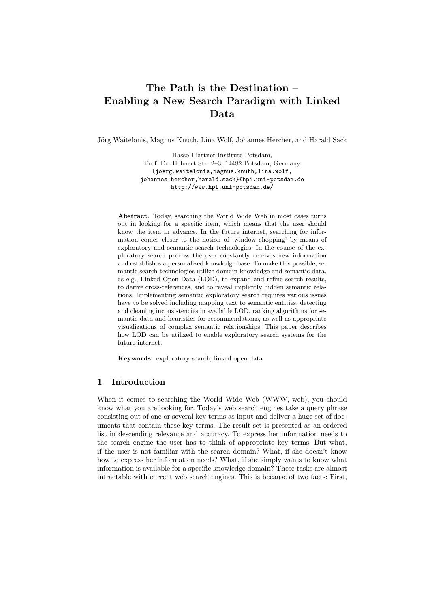# The Path is the Destination – Enabling a New Search Paradigm with Linked Data

Jörg Waitelonis, Magnus Knuth, Lina Wolf, Johannes Hercher, and Harald Sack

Hasso-Plattner-Institute Potsdam, Prof.-Dr.-Helmert-Str. 2–3, 14482 Potsdam, Germany {joerg.waitelonis,magnus.knuth,lina.wolf, johannes.hercher,harald.sack}@hpi.uni-potsdam.de http://www.hpi.uni-potsdam.de/

Abstract. Today, searching the World Wide Web in most cases turns out in looking for a specific item, which means that the user should know the item in advance. In the future internet, searching for information comes closer to the notion of 'window shopping' by means of exploratory and semantic search technologies. In the course of the exploratory search process the user constantly receives new information and establishes a personalized knowledge base. To make this possible, semantic search technologies utilize domain knowledge and semantic data, as e.g., Linked Open Data (LOD), to expand and refine search results, to derive cross-references, and to reveal implicitly hidden semantic relations. Implementing semantic exploratory search requires various issues have to be solved including mapping text to semantic entities, detecting and cleaning inconsistencies in available LOD, ranking algorithms for semantic data and heuristics for recommendations, as well as appropriate visualizations of complex semantic relationships. This paper describes how LOD can be utilized to enable exploratory search systems for the future internet.

Keywords: exploratory search, linked open data

# 1 Introduction

When it comes to searching the World Wide Web (WWW, web), you should know what you are looking for. Today's web search engines take a query phrase consisting out of one or several key terms as input and deliver a huge set of documents that contain these key terms. The result set is presented as an ordered list in descending relevance and accuracy. To express her information needs to the search engine the user has to think of appropriate key terms. But what, if the user is not familiar with the search domain? What, if she doesn't know how to express her information needs? What, if she simply wants to know what information is available for a specific knowledge domain? These tasks are almost intractable with current web search engines. This is because of two facts: First,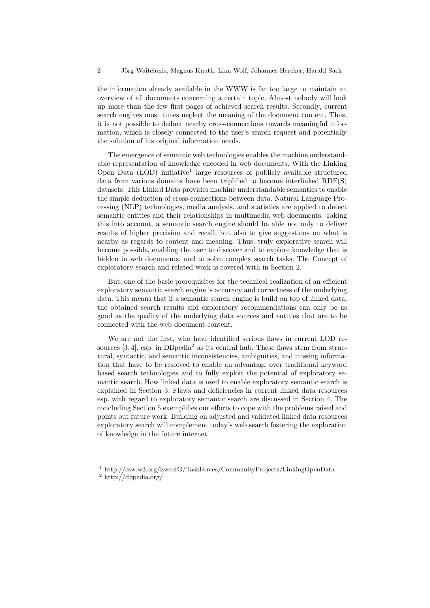the information already available in the WWW is far too large to maintain an overview of all documents concerning a certain topic. Almost nobody will look up more than the few first pages of achieved search results. Secondly, current search engines most times neglect the meaning of the document content. Thus, it is not possible to deduct nearby cross-connections towards meaningful information, which is closely connected to the user's search request and potentially the solution of his original information needs.

The emergence of semantic web technologies enables the machine understandable representation of knowledge encoded in web documents. With the Linking Open Data (LOD) initiative<sup>1</sup> large resources of publicly available structured data from various domains have been triplified to become interlinked RDF(S) datasets. This Linked Data provides machine understandable semantics to enable the simple deduction of cross-connections between data. Natural Language Processing (NLP) technologies, media analysis, and statistics are applied to detect semantic entities and their relationships in multimedia web documents. Taking this into account, a semantic search engine should be able not only to deliver results of higher precision and recall, but also to give suggestions on what is nearby as regards to content and meaning. Thus, truly explorative search will become possible, enabling the user to discover and to explore knowledge that is hidden in web documents, and to solve complex search tasks. The Concept of exploratory search and related work is covered with in Section 2.

But, one of the basic prerequisites for the technical realization of an efficient exploratory semantic search engine is accuracy and correctness of the underlying data. This means that if a semantic search engine is build on top of linked data, the obtained search results and exploratory recommendations can only be as good as the quality of the underlying data sources and entities that are to be connected with the web document content.

We are not the first, who have identified serious flaws in current LOD resources  $[3, 4]$ , esp. in DB pedia<sup>2</sup> as its central hub. These flaws stem from structural, syntactic, and semantic inconsistencies, ambiguities, and missing information that have to be resolved to enable an advantage over traditional keyword based search technologies and to fully exploit the potential of exploratory semantic search. How linked data is used to enable exploratory semantic search is explained in Section 3. Flaws and deficiencies in current linked data resources esp. with regard to exploratory semantic search are discussed in Section 4. The concluding Section 5 exemplifies our efforts to cope with the problems raised and points out future work. Building on adjusted and validated linked data resources exploratory search will complement today's web search fostering the exploration of knowledge in the future internet.

<sup>1</sup> http://esw.w3.org/SweoIG/TaskForces/CommunityProjects/LinkingOpenData

 $^2$ http://dbpedia.org/  $\,$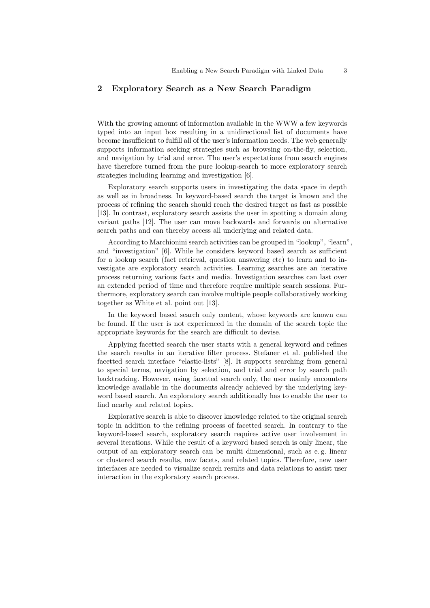# 2 Exploratory Search as a New Search Paradigm

With the growing amount of information available in the WWW a few keywords typed into an input box resulting in a unidirectional list of documents have become insufficient to fulfill all of the user's information needs. The web generally supports information seeking strategies such as browsing on-the-fly, selection, and navigation by trial and error. The user's expectations from search engines have therefore turned from the pure lookup-search to more exploratory search strategies including learning and investigation [6].

Exploratory search supports users in investigating the data space in depth as well as in broadness. In keyword-based search the target is known and the process of refining the search should reach the desired target as fast as possible [13]. In contrast, exploratory search assists the user in spotting a domain along variant paths [12]. The user can move backwards and forwards on alternative search paths and can thereby access all underlying and related data.

According to Marchionini search activities can be grouped in "lookup", "learn", and "investigation" [6]. While he considers keyword based search as sufficient for a lookup search (fact retrieval, question answering etc) to learn and to investigate are exploratory search activities. Learning searches are an iterative process returning various facts and media. Investigation searches can last over an extended period of time and therefore require multiple search sessions. Furthermore, exploratory search can involve multiple people collaboratively working together as White et al. point out [13].

In the keyword based search only content, whose keywords are known can be found. If the user is not experienced in the domain of the search topic the appropriate keywords for the search are difficult to devise.

Applying facetted search the user starts with a general keyword and refines the search results in an iterative filter process. Stefaner et al. published the facetted search interface "elastic-lists" [8]. It supports searching from general to special terms, navigation by selection, and trial and error by search path backtracking. However, using facetted search only, the user mainly encounters knowledge available in the documents already achieved by the underlying keyword based search. An exploratory search additionally has to enable the user to find nearby and related topics.

Explorative search is able to discover knowledge related to the original search topic in addition to the refining process of facetted search. In contrary to the keyword-based search, exploratory search requires active user involvement in several iterations. While the result of a keyword based search is only linear, the output of an exploratory search can be multi dimensional, such as e. g. linear or clustered search results, new facets, and related topics. Therefore, new user interfaces are needed to visualize search results and data relations to assist user interaction in the exploratory search process.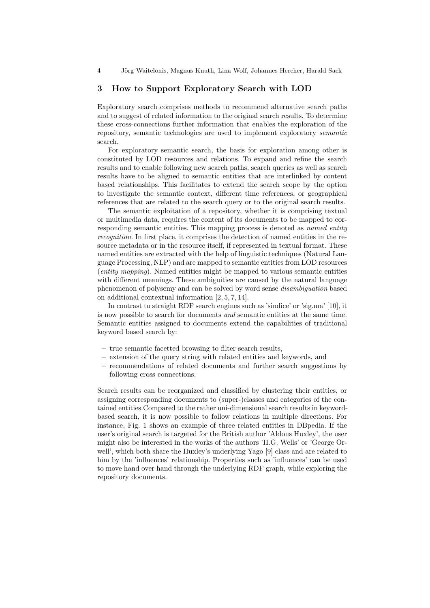4 J¨org Waitelonis, Magnus Knuth, Lina Wolf, Johannes Hercher, Harald Sack

#### 3 How to Support Exploratory Search with LOD

Exploratory search comprises methods to recommend alternative search paths and to suggest of related information to the original search results. To determine these cross-connections further information that enables the exploration of the repository, semantic technologies are used to implement exploratory semantic search.

For exploratory semantic search, the basis for exploration among other is constituted by LOD resources and relations. To expand and refine the search results and to enable following new search paths, search queries as well as search results have to be aligned to semantic entities that are interlinked by content based relationships. This facilitates to extend the search scope by the option to investigate the semantic context, different time references, or geographical references that are related to the search query or to the original search results.

The semantic exploitation of a repository, whether it is comprising textual or multimedia data, requires the content of its documents to be mapped to corresponding semantic entities. This mapping process is denoted as *named entity* recognition. In first place, it comprises the detection of named entities in the resource metadata or in the resource itself, if represented in textual format. These named entities are extracted with the help of linguistic techniques (Natural Language Processing, NLP) and are mapped to semantic entities from LOD resources (entity mapping). Named entities might be mapped to various semantic entities with different meanings. These ambiguities are caused by the natural language phenomenon of polysemy and can be solved by word sense disambiguation based on additional contextual information [2, 5, 7, 14].

In contrast to straight RDF search engines such as 'sindice' or 'sig.ma' [10], it is now possible to search for documents and semantic entities at the same time. Semantic entities assigned to documents extend the capabilities of traditional keyword based search by:

- true semantic facetted browsing to filter search results,
- extension of the query string with related entities and keywords, and
- recommendations of related documents and further search suggestions by following cross connections.

Search results can be reorganized and classified by clustering their entities, or assigning corresponding documents to (super-)classes and categories of the contained entities.Compared to the rather uni-dimensional search results in keywordbased search, it is now possible to follow relations in multiple directions. For instance, Fig. 1 shows an example of three related entities in DBpedia. If the user's original search is targeted for the British author 'Aldous Huxley', the user might also be interested in the works of the authors 'H.G. Wells' or 'George Orwell', which both share the Huxley's underlying Yago [9] class and are related to him by the 'influences' relationship. Properties such as 'influences' can be used to move hand over hand through the underlying RDF graph, while exploring the repository documents.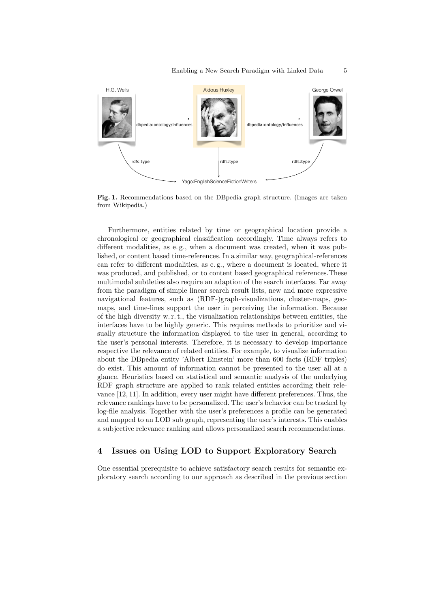

Fig. 1. Recommendations based on the DBpedia graph structure. (Images are taken from Wikipedia.)

Furthermore, entities related by time or geographical location provide a chronological or geographical classification accordingly. Time always refers to different modalities, as e. g., when a document was created, when it was published, or content based time-references. In a similar way, geographical-references can refer to different modalities, as e. g., where a document is located, where it was produced, and published, or to content based geographical references.These multimodal subtleties also require an adaption of the search interfaces. Far away from the paradigm of simple linear search result lists, new and more expressive navigational features, such as (RDF-)graph-visualizations, cluster-maps, geomaps, and time-lines support the user in perceiving the information. Because of the high diversity w. r. t., the visualization relationships between entities, the interfaces have to be highly generic. This requires methods to prioritize and visually structure the information displayed to the user in general, according to the user's personal interests. Therefore, it is necessary to develop importance respective the relevance of related entities. For example, to visualize information about the DBpedia entity 'Albert Einstein' more than 600 facts (RDF triples) do exist. This amount of information cannot be presented to the user all at a glance. Heuristics based on statistical and semantic analysis of the underlying RDF graph structure are applied to rank related entities according their relevance [12, 11]. In addition, every user might have different preferences. Thus, the relevance rankings have to be personalized. The user's behavior can be tracked by log-file analysis. Together with the user's preferences a profile can be generated and mapped to an LOD sub graph, representing the user's interests. This enables a subjective relevance ranking and allows personalized search recommendations.

## 4 Issues on Using LOD to Support Exploratory Search

One essential prerequisite to achieve satisfactory search results for semantic exploratory search according to our approach as described in the previous section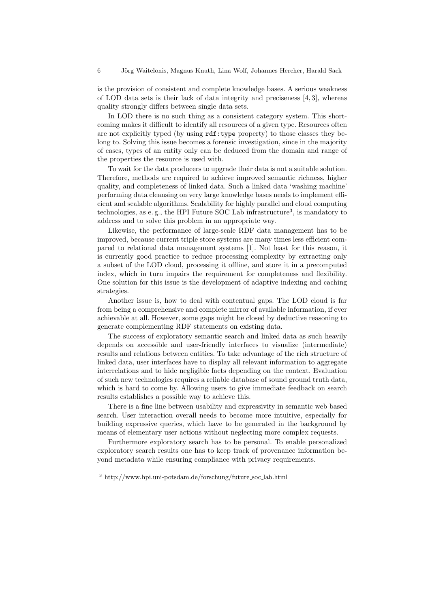is the provision of consistent and complete knowledge bases. A serious weakness of LOD data sets is their lack of data integrity and preciseness  $[4, 3]$ , whereas quality strongly differs between single data sets.

In LOD there is no such thing as a consistent category system. This shortcoming makes it difficult to identify all resources of a given type. Resources often are not explicitly typed (by using rdf:type property) to those classes they belong to. Solving this issue becomes a forensic investigation, since in the majority of cases, types of an entity only can be deduced from the domain and range of the properties the resource is used with.

To wait for the data producers to upgrade their data is not a suitable solution. Therefore, methods are required to achieve improved semantic richness, higher quality, and completeness of linked data. Such a linked data 'washing machine' performing data cleansing on very large knowledge bases needs to implement efficient and scalable algorithms. Scalability for highly parallel and cloud computing technologies, as e.g., the HPI Future SOC Lab infrastructure<sup>3</sup>, is mandatory to address and to solve this problem in an appropriate way.

Likewise, the performance of large-scale RDF data management has to be improved, because current triple store systems are many times less efficient compared to relational data management systems [1]. Not least for this reason, it is currently good practice to reduce processing complexity by extracting only a subset of the LOD cloud, processing it offline, and store it in a precomputed index, which in turn impairs the requirement for completeness and flexibility. One solution for this issue is the development of adaptive indexing and caching strategies.

Another issue is, how to deal with contentual gaps. The LOD cloud is far from being a comprehensive and complete mirror of available information, if ever achievable at all. However, some gaps might be closed by deductive reasoning to generate complementing RDF statements on existing data.

The success of exploratory semantic search and linked data as such heavily depends on accessible and user-friendly interfaces to visualize (intermediate) results and relations between entities. To take advantage of the rich structure of linked data, user interfaces have to display all relevant information to aggregate interrelations and to hide negligible facts depending on the context. Evaluation of such new technologies requires a reliable database of sound ground truth data, which is hard to come by. Allowing users to give immediate feedback on search results establishes a possible way to achieve this.

There is a fine line between usability and expressivity in semantic web based search. User interaction overall needs to become more intuitive, especially for building expressive queries, which have to be generated in the background by means of elementary user actions without neglecting more complex requests.

Furthermore exploratory search has to be personal. To enable personalized exploratory search results one has to keep track of provenance information beyond metadata while ensuring compliance with privacy requirements.

<sup>3</sup> http://www.hpi.uni-potsdam.de/forschung/future soc lab.html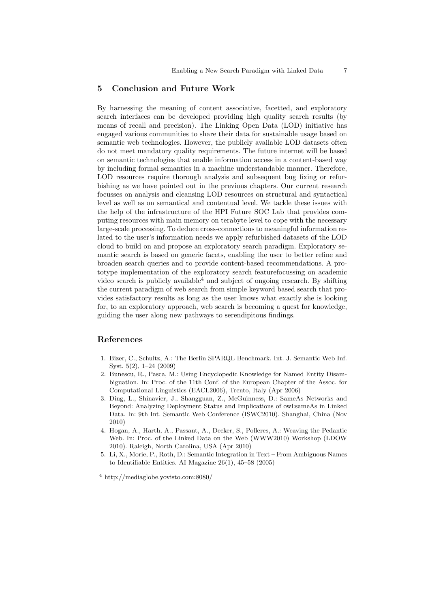### 5 Conclusion and Future Work

By harnessing the meaning of content associative, facetted, and exploratory search interfaces can be developed providing high quality search results (by means of recall and precision). The Linking Open Data (LOD) initiative has engaged various communities to share their data for sustainable usage based on semantic web technologies. However, the publicly available LOD datasets often do not meet mandatory quality requirements. The future internet will be based on semantic technologies that enable information access in a content-based way by including formal semantics in a machine understandable manner. Therefore, LOD resources require thorough analysis and subsequent bug fixing or refurbishing as we have pointed out in the previous chapters. Our current research focusses on analysis and cleansing LOD resources on structural and syntactical level as well as on semantical and contentual level. We tackle these issues with the help of the infrastructure of the HPI Future SOC Lab that provides computing resources with main memory on terabyte level to cope with the necessary large-scale processing. To deduce cross-connections to meaningful information related to the user's information needs we apply refurbished datasets of the LOD cloud to build on and propose an exploratory search paradigm. Exploratory semantic search is based on generic facets, enabling the user to better refine and broaden search queries and to provide content-based recommendations. A prototype implementation of the exploratory search featurefocussing on academic video search is publicly available  $4$  and subject of ongoing research. By shifting the current paradigm of web search from simple keyword based search that provides satisfactory results as long as the user knows what exactly she is looking for, to an exploratory approach, web search is becoming a quest for knowledge, guiding the user along new pathways to serendipitous findings.

## References

- 1. Bizer, C., Schultz, A.: The Berlin SPARQL Benchmark. Int. J. Semantic Web Inf. Syst. 5(2), 1–24 (2009)
- 2. Bunescu, R., Pasca, M.: Using Encyclopedic Knowledge for Named Entity Disambiguation. In: Proc. of the 11th Conf. of the European Chapter of the Assoc. for Computational Linguistics (EACL2006), Trento, Italy (Apr 2006)
- 3. Ding, L., Shinavier, J., Shangguan, Z., McGuinness, D.: SameAs Networks and Beyond: Analyzing Deployment Status and Implications of owl:sameAs in Linked Data. In: 9th Int. Semantic Web Conference (ISWC2010). Shanghai, China (Nov 2010)
- 4. Hogan, A., Harth, A., Passant, A., Decker, S., Polleres, A.: Weaving the Pedantic Web. In: Proc. of the Linked Data on the Web (WWW2010) Workshop (LDOW 2010). Raleigh, North Carolina, USA (Apr 2010)
- 5. Li, X., Morie, P., Roth, D.: Semantic Integration in Text From Ambiguous Names to Identifiable Entities. AI Magazine 26(1), 45–58 (2005)

 $^4$ http://mediaglobe.yovisto.com:8080/  $\,$